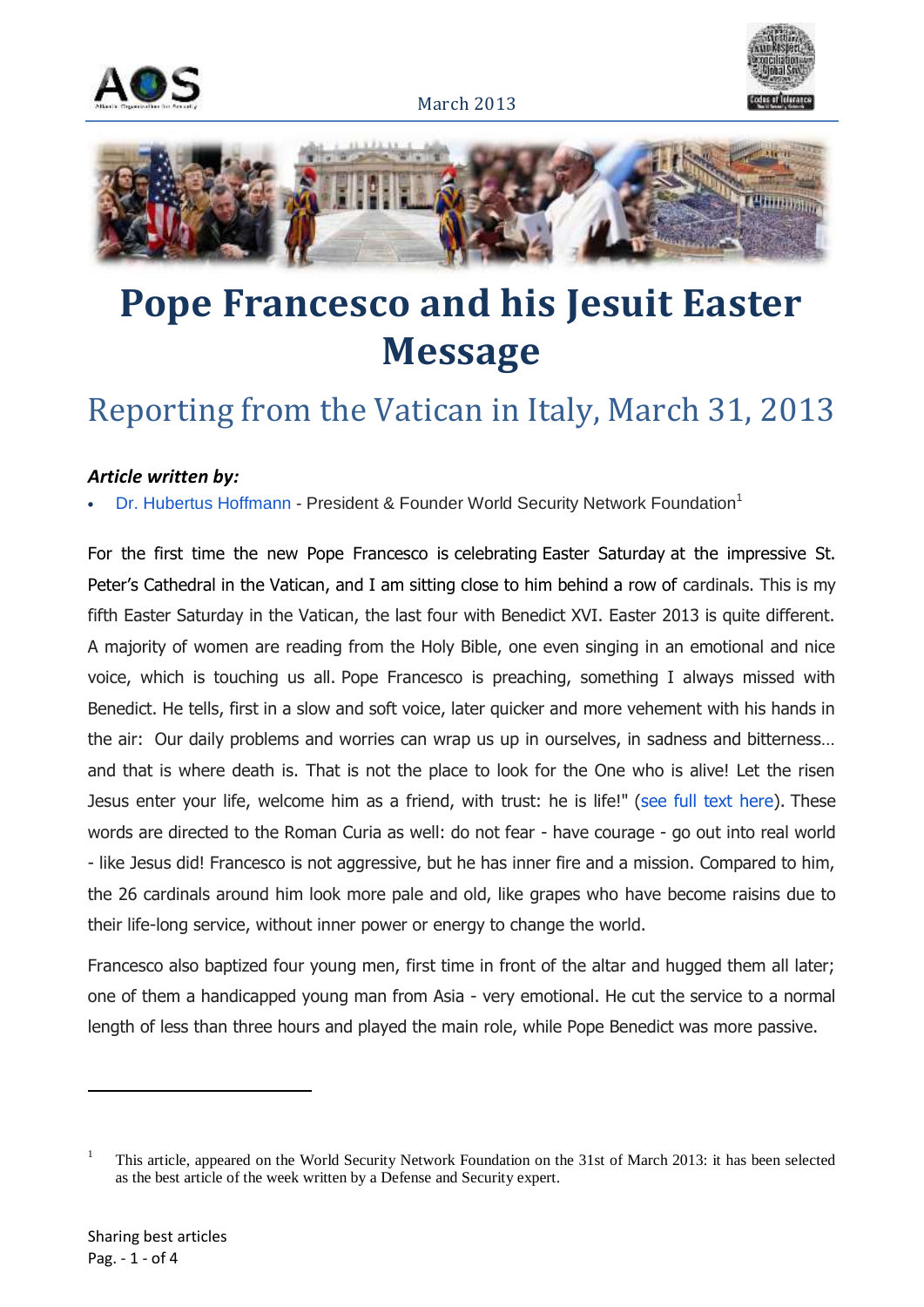





## **Pope Francesco and his Jesuit Easter Message**

## Reporting from the Vatican in Italy, March 31, 2013

## *Article written by:*

• [Dr. Hubertus Hoffmann](http://smartmailerclick.bisglobal.net/act_linkClick.aspx?sm_guid=MjMzOTB8MjczODU3M3wxfGdzY290dGlkaXVjY2lvQGdtYWlsLmNvbXw2MjA3MHxodHRwOi8vd3d3Lndvcmxkc2VjdXJpdHluZXR3b3JrLmNvbS9hdXRob3JfYmlvL2h1YmVydHVzLWhvZmZtYW5ufDB8MHww0) - President & Founder World Security Network Foundation<sup>1</sup>

For the first time the new Pope Francesco is celebrating Easter Saturday at the impressive St. Peter's Cathedral in the Vatican, and I am sitting close to him behind a row of cardinals. This is my fifth Easter Saturday in the Vatican, the last four with Benedict XVI. Easter 2013 is quite different. A majority of women are reading from the Holy Bible, one even singing in an emotional and nice voice, which is touching us all. Pope Francesco is preaching, something I always missed with Benedict. He tells, first in a slow and soft voice, later quicker and more vehement with his hands in the air: Our daily problems and worries can wrap us up in ourselves, in sadness and bitterness… and that is where death is. That is not the place to look for the One who is alive! Let the risen Jesus enter your life, welcome him as a friend, with trust: he is life!" [\(see full text here\)](http://smartmailerclick.bisglobal.net/act_linkClick.aspx?sm_guid=MjMzOTB8MjczODU3M3wxfGdzY290dGlkaXVjY2lvQGdtYWlsLmNvbXw2MjA2OXxodHRwOi8vd3d3LmNhdGhvbGljaGVyYWxkLmNvLnVrL25ld3MvMjAxMy8wMy8zMC9mdWxsLXRleHQtb2YtcG9wZS1mcmFuY2lzcy1ob21pbHktYXQtdGhlLWVhc3Rlci12aWdpbC98MHwwfDA1). These words are directed to the Roman Curia as well: do not fear - have courage - go out into real world - like Jesus did! Francesco is not aggressive, but he has inner fire and a mission. Compared to him, the 26 cardinals around him look more pale and old, like grapes who have become raisins due to their life-long service, without inner power or energy to change the world.

Francesco also baptized four young men, first time in front of the altar and hugged them all later; one of them a handicapped young man from Asia - very emotional. He cut the service to a normal length of less than three hours and played the main role, while Pope Benedict was more passive.

1

<sup>1</sup> This article, appeared on the World Security Network Foundation on the 31st of March 2013: it has been selected as the best article of the week written by a Defense and Security expert.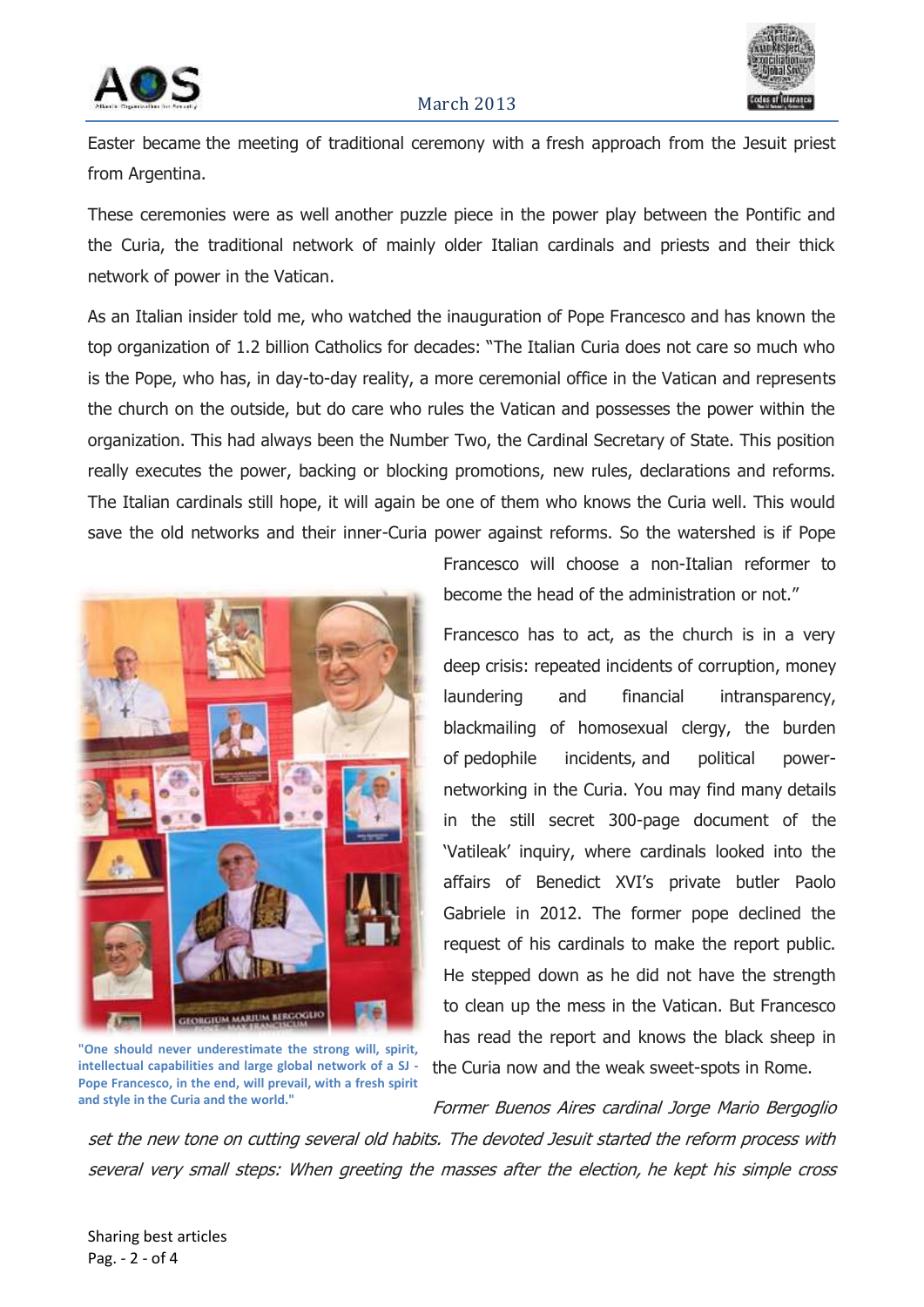



Easter became the meeting of traditional ceremony with a fresh approach from the Jesuit priest from Argentina.

These ceremonies were as well another puzzle piece in the power play between the Pontific and the Curia, the traditional network of mainly older Italian cardinals and priests and their thick network of power in the Vatican.

As an Italian insider told me, who watched the inauguration of Pope Francesco and has known the top organization of 1.2 billion Catholics for decades: "The Italian Curia does not care so much who is the Pope, who has, in day-to-day reality, a more ceremonial office in the Vatican and represents the church on the outside, but do care who rules the Vatican and possesses the power within the organization. This had always been the Number Two, the Cardinal Secretary of State. This position really executes the power, backing or blocking promotions, new rules, declarations and reforms. The Italian cardinals still hope, it will again be one of them who knows the Curia well. This would save the old networks and their inner-Curia power against reforms. So the watershed is if Pope



**"One should never underestimate the strong will, spirit, intellectual capabilities and large global network of a SJ - Pope Francesco, in the end, will prevail, with a fresh spirit and style in the Curia and the world."**

Francesco will choose a non-Italian reformer to become the head of the administration or not."

Francesco has to act, as the church is in a very deep crisis: repeated incidents of corruption, money laundering and financial intransparency, blackmailing of homosexual clergy, the burden of pedophile incidents, and political powernetworking in the Curia. You may find many details in the still secret 300-page document of the "Vatileak" inquiry, where cardinals looked into the affairs of Benedict XVI"s private butler Paolo Gabriele in 2012. The former pope declined the request of his cardinals to make the report public. He stepped down as he did not have the strength to clean up the mess in the Vatican. But Francesco has read the report and knows the black sheep in the Curia now and the weak sweet-spots in Rome.

Former Buenos Aires cardinal Jorge Mario Bergoglio set the new tone on cutting several old habits. The devoted Jesuit started the reform process with several very small steps: When greeting the masses after the election, he kept his simple cross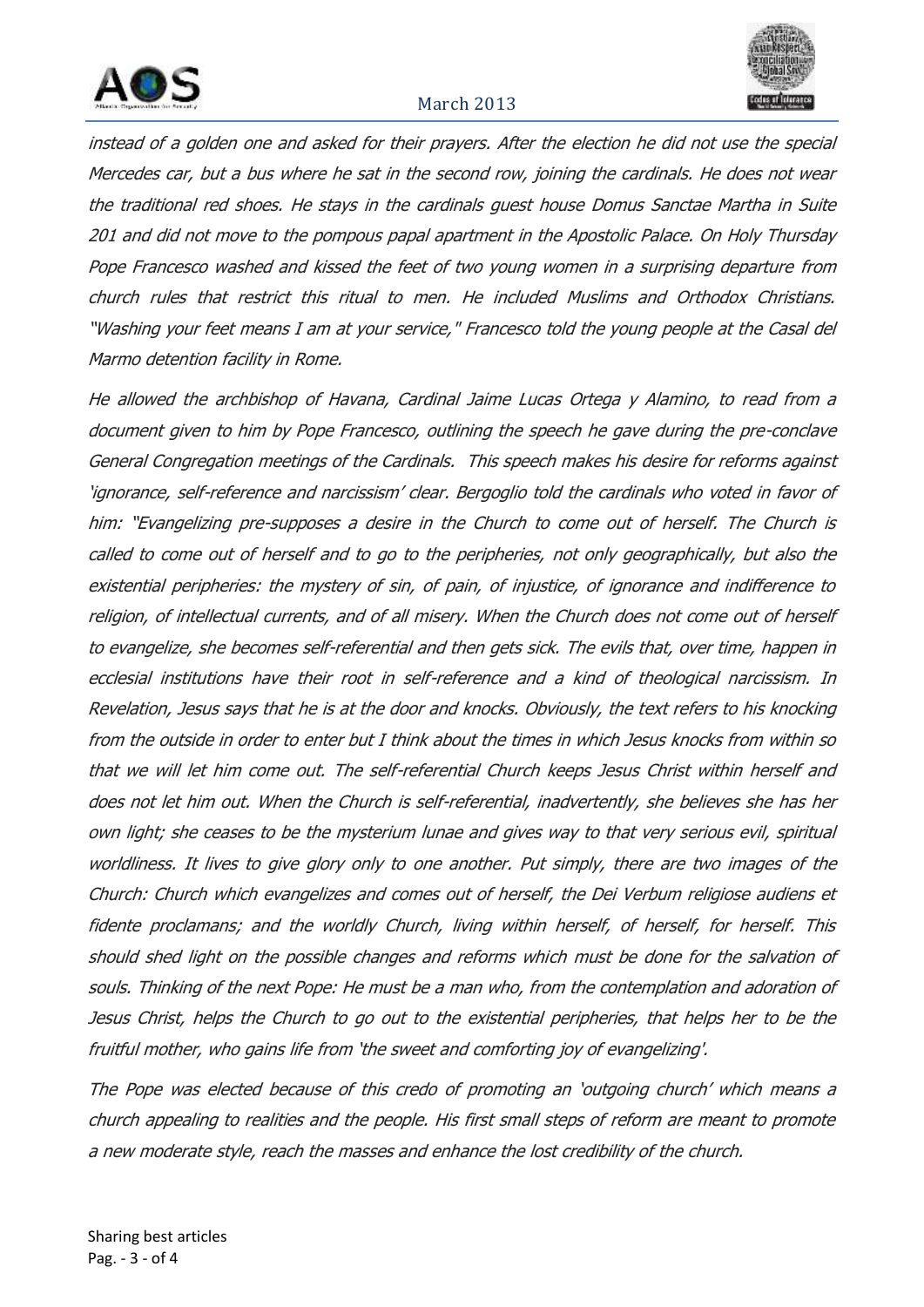



## March 2013

instead of a golden one and asked for their prayers. After the election he did not use the special Mercedes car, but a bus where he sat in the second row, joining the cardinals. He does not wear the traditional red shoes. He stays in the cardinals guest house Domus Sanctae Martha in Suite 201 and did not move to the pompous papal apartment in the Apostolic Palace. On Holy Thursday Pope Francesco washed and kissed the feet of two young women in a surprising departure from church rules that restrict this ritual to men. He included Muslims and Orthodox Christians. "Washing your feet means I am at your service," Francesco told the young people at the Casal del Marmo detention facility in Rome.

He allowed the archbishop of Havana, Cardinal Jaime Lucas Ortega y Alamino, to read from a document given to him by Pope Francesco, outlining the speech he gave during the pre-conclave General Congregation meetings of the Cardinals. This speech makes his desire for reforms against "ignorance, self-reference and narcissism" clear. Bergoglio told the cardinals who voted in favor of him: "Evangelizing pre-supposes a desire in the Church to come out of herself. The Church is called to come out of herself and to go to the peripheries, not only geographically, but also the existential peripheries: the mystery of sin, of pain, of injustice, of ignorance and indifference to religion, of intellectual currents, and of all misery. When the Church does not come out of herself to evangelize, she becomes self-referential and then gets sick. The evils that, over time, happen in ecclesial institutions have their root in self-reference and a kind of theological narcissism. In Revelation, Jesus says that he is at the door and knocks. Obviously, the text refers to his knocking from the outside in order to enter but I think about the times in which Jesus knocks from within so that we will let him come out. The self-referential Church keeps Jesus Christ within herself and does not let him out. When the Church is self-referential, inadvertently, she believes she has her own light; she ceases to be the mysterium lunae and gives way to that very serious evil, spiritual worldliness. It lives to give glory only to one another. Put simply, there are two images of the Church: Church which evangelizes and comes out of herself, the Dei Verbum religiose audiens et fidente proclamans; and the worldly Church, living within herself, of herself, for herself. This should shed light on the possible changes and reforms which must be done for the salvation of souls. Thinking of the next Pope: He must be a man who, from the contemplation and adoration of Jesus Christ, helps the Church to go out to the existential peripheries, that helps her to be the fruitful mother, who gains life from "the sweet and comforting joy of evangelizing'.

The Pope was elected because of this credo of promoting an "outgoing church" which means a church appealing to realities and the people. His first small steps of reform are meant to promote <sup>a</sup> new moderate style, reach the masses and enhance the lost credibility of the church.